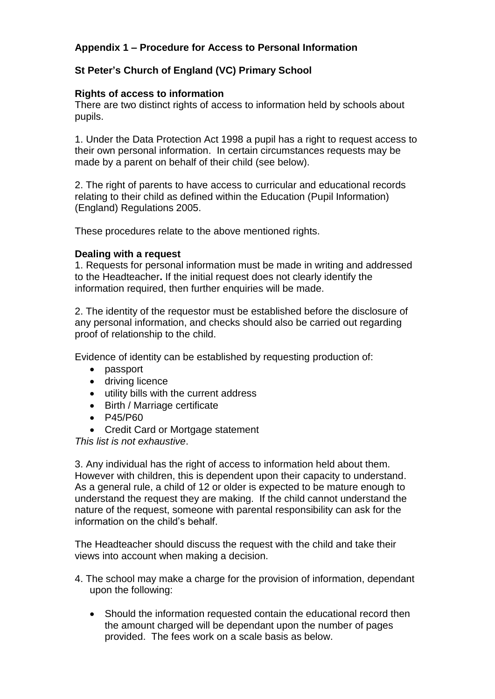# **Appendix 1 – Procedure for Access to Personal Information**

# **St Peter's Church of England (VC) Primary School**

## **Rights of access to information**

There are two distinct rights of access to information held by schools about pupils.

1. Under the Data Protection Act 1998 a pupil has a right to request access to their own personal information. In certain circumstances requests may be made by a parent on behalf of their child (see below).

2. The right of parents to have access to curricular and educational records relating to their child as defined within the Education (Pupil Information) (England) Regulations 2005.

These procedures relate to the above mentioned rights.

## **Dealing with a request**

1. Requests for personal information must be made in writing and addressed to the Headteacher**.** If the initial request does not clearly identify the information required, then further enquiries will be made.

2. The identity of the requestor must be established before the disclosure of any personal information, and checks should also be carried out regarding proof of relationship to the child.

Evidence of identity can be established by requesting production of:

- passport
- driving licence
- utility bills with the current address
- Birth / Marriage certificate
- P45/P60
- Credit Card or Mortgage statement

*This list is not exhaustive*.

3. Any individual has the right of access to information held about them. However with children, this is dependent upon their capacity to understand. As a general rule, a child of 12 or older is expected to be mature enough to understand the request they are making. If the child cannot understand the nature of the request, someone with parental responsibility can ask for the information on the child's behalf.

The Headteacher should discuss the request with the child and take their views into account when making a decision.

- 4. The school may make a charge for the provision of information, dependant upon the following:
	- Should the information requested contain the educational record then the amount charged will be dependant upon the number of pages provided. The fees work on a scale basis as below.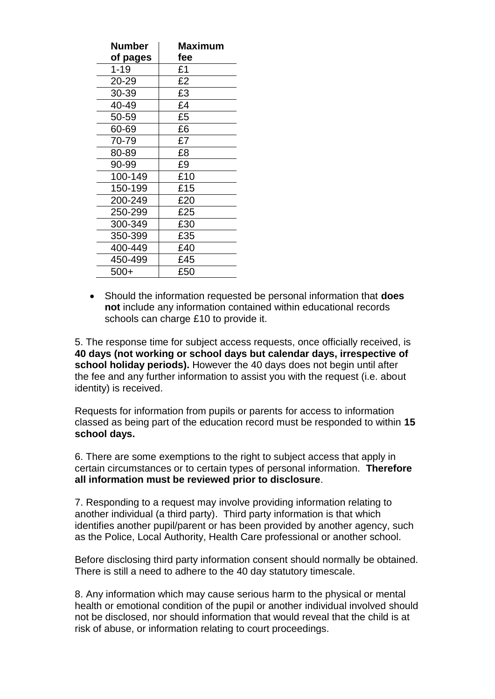| <b>Number</b><br>of pages | Maximum<br>fee |
|---------------------------|----------------|
| $1 - 19$                  | £1             |
| 20-29                     | £2             |
| 30-39                     | £3             |
| 40-49                     | £4             |
| 50-59                     | £5             |
| 60-69                     | £6             |
| 70-79                     | £7             |
| 80-89                     | £8             |
| 90-99                     | £9             |
| 100-149                   | £10            |
| 150-199                   | £15            |
| 200-249                   | £20            |
| 250-299                   | £25            |
| 300-349                   | £30            |
| 350-399                   | £35            |
| 400-449                   | £40            |
| 450-499                   | £45            |
| 500+                      | £50            |

 Should the information requested be personal information that **does not** include any information contained within educational records schools can charge £10 to provide it.

5. The response time for subject access requests, once officially received, is **40 days (not working or school days but calendar days, irrespective of school holiday periods).** However the 40 days does not begin until after the fee and any further information to assist you with the request (i.e. about identity) is received.

Requests for information from pupils or parents for access to information classed as being part of the education record must be responded to within **15 school days.**

6. There are some exemptions to the right to subject access that apply in certain circumstances or to certain types of personal information. **Therefore all information must be reviewed prior to disclosure**.

7. Responding to a request may involve providing information relating to another individual (a third party). Third party information is that which identifies another pupil/parent or has been provided by another agency, such as the Police, Local Authority, Health Care professional or another school.

Before disclosing third party information consent should normally be obtained. There is still a need to adhere to the 40 day statutory timescale.

8. Any information which may cause serious harm to the physical or mental health or emotional condition of the pupil or another individual involved should not be disclosed, nor should information that would reveal that the child is at risk of abuse, or information relating to court proceedings.